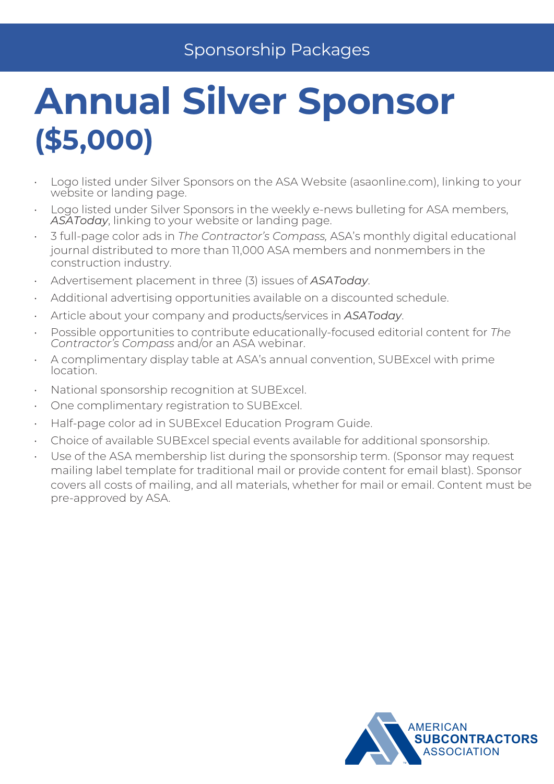## Sponsorship Packages

## **Annual Silver Sponsor (\$5,000)**

- Logo listed under Silver Sponsors on the ASA Website (asaonline.com), linking to your website or landing page.
- Logo listed under Silver Sponsors in the weekly e-news bulleting for ASA members, ASAToday, linking to your website or landing page.
- 3 full-page color ads in *The Contractor's Compass,* ASA's monthly digital educational journal distributed to more than 11,000 ASA members and nonmembers in the construction industry.
- Advertisement placement in three (3) issues of *ASAToday*.
- Additional advertising opportunities available on a discounted schedule.
- Article about your company and products/services in *ASAToday*.
- Possible opportunities to contribute educationally-focused editorial content for *The Contractor's Compass* and/or an ASA webinar.
- A complimentary display table at ASA's annual convention, SUBExcel with prime location.
- National sponsorship recognition at SUBExcel.
- One complimentary registration to SUBExcel.
- Half-page color ad in SUBExcel Education Program Guide.
- Choice of available SUBExcel special events available for additional sponsorship.
- Use of the ASA membership list during the sponsorship term. (Sponsor may request mailing label template for traditional mail or provide content for email blast). Sponsor covers all costs of mailing, and all materials, whether for mail or email. Content must be pre-approved by ASA.